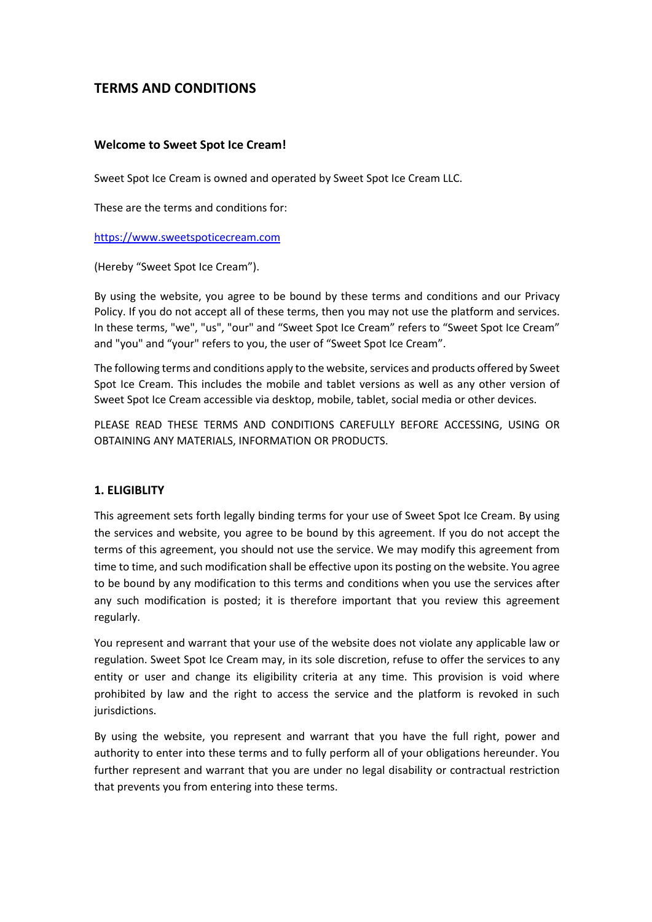# **TERMS AND CONDITIONS**

#### **Welcome to Sweet Spot Ice Cream!**

Sweet Spot Ice Cream is owned and operated by Sweet Spot Ice Cream LLC.

These are the terms and conditions for:

https://www.sweetspoticecream.com

(Hereby "Sweet Spot Ice Cream").

By using the website, you agree to be bound by these terms and conditions and our Privacy Policy. If you do not accept all of these terms, then you may not use the platform and services. In these terms, "we", "us", "our" and "Sweet Spot Ice Cream" refers to "Sweet Spot Ice Cream" and "you" and "your" refers to you, the user of "Sweet Spot Ice Cream".

The following terms and conditions apply to the website, services and products offered by Sweet Spot Ice Cream. This includes the mobile and tablet versions as well as any other version of Sweet Spot Ice Cream accessible via desktop, mobile, tablet, social media or other devices.

PLEASE READ THESE TERMS AND CONDITIONS CAREFULLY BEFORE ACCESSING, USING OR OBTAINING ANY MATERIALS, INFORMATION OR PRODUCTS.

#### **1. ELIGIBLITY**

This agreement sets forth legally binding terms for your use of Sweet Spot Ice Cream. By using the services and website, you agree to be bound by this agreement. If you do not accept the terms of this agreement, you should not use the service. We may modify this agreement from time to time, and such modification shall be effective upon its posting on the website. You agree to be bound by any modification to this terms and conditions when you use the services after any such modification is posted; it is therefore important that you review this agreement regularly.

You represent and warrant that your use of the website does not violate any applicable law or regulation. Sweet Spot Ice Cream may, in its sole discretion, refuse to offer the services to any entity or user and change its eligibility criteria at any time. This provision is void where prohibited by law and the right to access the service and the platform is revoked in such jurisdictions.

By using the website, you represent and warrant that you have the full right, power and authority to enter into these terms and to fully perform all of your obligations hereunder. You further represent and warrant that you are under no legal disability or contractual restriction that prevents you from entering into these terms.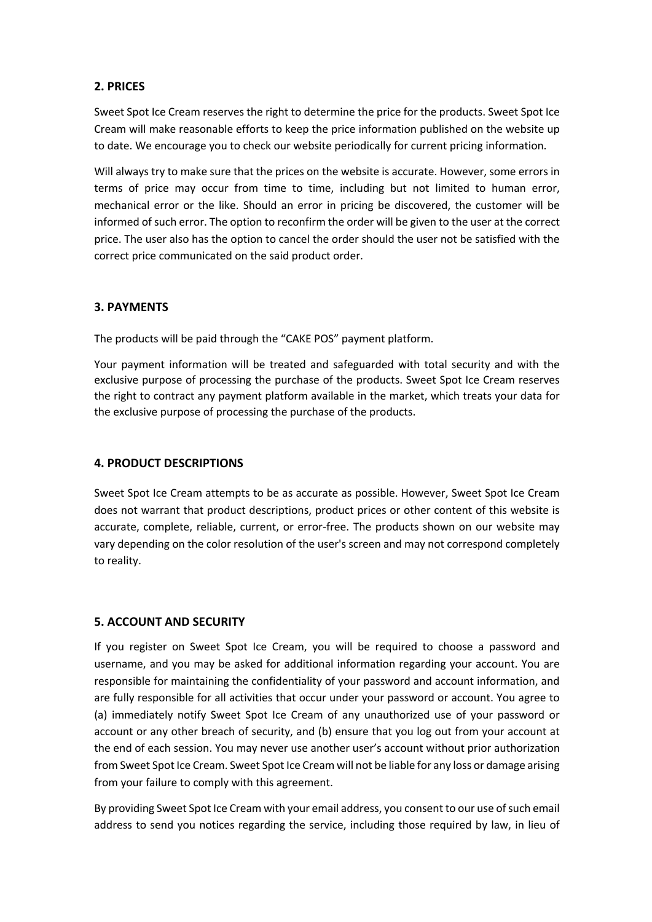### **2. PRICES**

Sweet Spot Ice Cream reserves the right to determine the price for the products. Sweet Spot Ice Cream will make reasonable efforts to keep the price information published on the website up to date. We encourage you to check our website periodically for current pricing information.

Will always try to make sure that the prices on the website is accurate. However, some errors in terms of price may occur from time to time, including but not limited to human error, mechanical error or the like. Should an error in pricing be discovered, the customer will be informed of such error. The option to reconfirm the order will be given to the user at the correct price. The user also has the option to cancel the order should the user not be satisfied with the correct price communicated on the said product order.

### **3. PAYMENTS**

The products will be paid through the "CAKE POS" payment platform.

Your payment information will be treated and safeguarded with total security and with the exclusive purpose of processing the purchase of the products. Sweet Spot Ice Cream reserves the right to contract any payment platform available in the market, which treats your data for the exclusive purpose of processing the purchase of the products.

# **4. PRODUCT DESCRIPTIONS**

Sweet Spot Ice Cream attempts to be as accurate as possible. However, Sweet Spot Ice Cream does not warrant that product descriptions, product prices or other content of this website is accurate, complete, reliable, current, or error-free. The products shown on our website may vary depending on the color resolution of the user's screen and may not correspond completely to reality.

# **5. ACCOUNT AND SECURITY**

If you register on Sweet Spot Ice Cream, you will be required to choose a password and username, and you may be asked for additional information regarding your account. You are responsible for maintaining the confidentiality of your password and account information, and are fully responsible for all activities that occur under your password or account. You agree to (a) immediately notify Sweet Spot Ice Cream of any unauthorized use of your password or account or any other breach of security, and (b) ensure that you log out from your account at the end of each session. You may never use another user's account without prior authorization from Sweet Spot Ice Cream. Sweet Spot Ice Cream will not be liable for any loss or damage arising from your failure to comply with this agreement.

By providing Sweet Spot Ice Cream with your email address, you consent to our use of such email address to send you notices regarding the service, including those required by law, in lieu of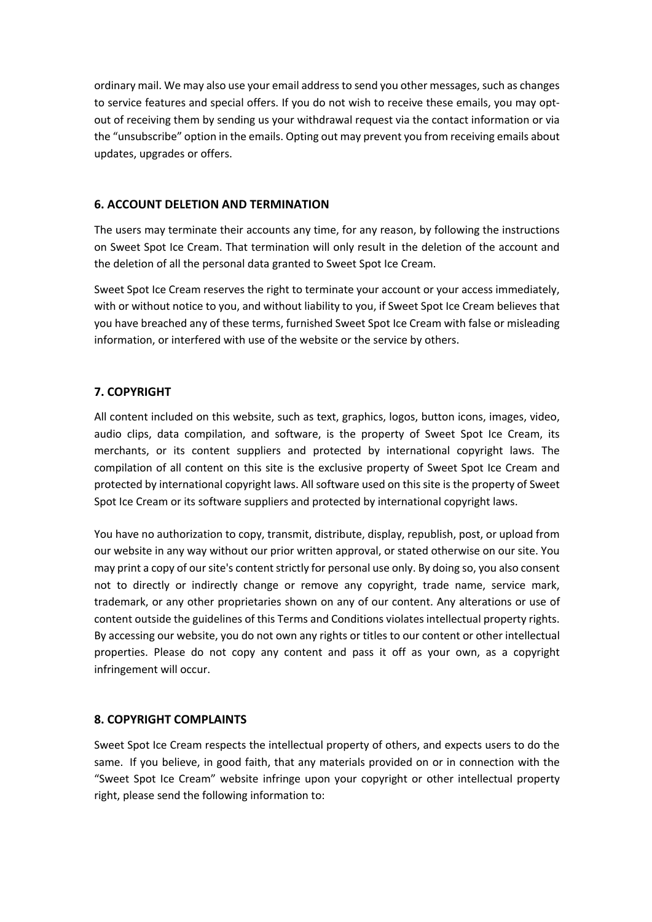ordinary mail. We may also use your email address to send you other messages, such as changes to service features and special offers. If you do not wish to receive these emails, you may optout of receiving them by sending us your withdrawal request via the contact information or via the "unsubscribe" option in the emails. Opting out may prevent you from receiving emails about updates, upgrades or offers.

## **6. ACCOUNT DELETION AND TERMINATION**

The users may terminate their accounts any time, for any reason, by following the instructions on Sweet Spot Ice Cream. That termination will only result in the deletion of the account and the deletion of all the personal data granted to Sweet Spot Ice Cream.

Sweet Spot Ice Cream reserves the right to terminate your account or your access immediately, with or without notice to you, and without liability to you, if Sweet Spot Ice Cream believes that you have breached any of these terms, furnished Sweet Spot Ice Cream with false or misleading information, or interfered with use of the website or the service by others.

## **7. COPYRIGHT**

All content included on this website, such as text, graphics, logos, button icons, images, video, audio clips, data compilation, and software, is the property of Sweet Spot Ice Cream, its merchants, or its content suppliers and protected by international copyright laws. The compilation of all content on this site is the exclusive property of Sweet Spot Ice Cream and protected by international copyright laws. All software used on this site is the property of Sweet Spot Ice Cream or its software suppliers and protected by international copyright laws.

You have no authorization to copy, transmit, distribute, display, republish, post, or upload from our website in any way without our prior written approval, or stated otherwise on our site. You may print a copy of our site's content strictly for personal use only. By doing so, you also consent not to directly or indirectly change or remove any copyright, trade name, service mark, trademark, or any other proprietaries shown on any of our content. Any alterations or use of content outside the guidelines of this Terms and Conditions violates intellectual property rights. By accessing our website, you do not own any rights or titles to our content or other intellectual properties. Please do not copy any content and pass it off as your own, as a copyright infringement will occur.

### **8. COPYRIGHT COMPLAINTS**

Sweet Spot Ice Cream respects the intellectual property of others, and expects users to do the same. If you believe, in good faith, that any materials provided on or in connection with the "Sweet Spot Ice Cream" website infringe upon your copyright or other intellectual property right, please send the following information to: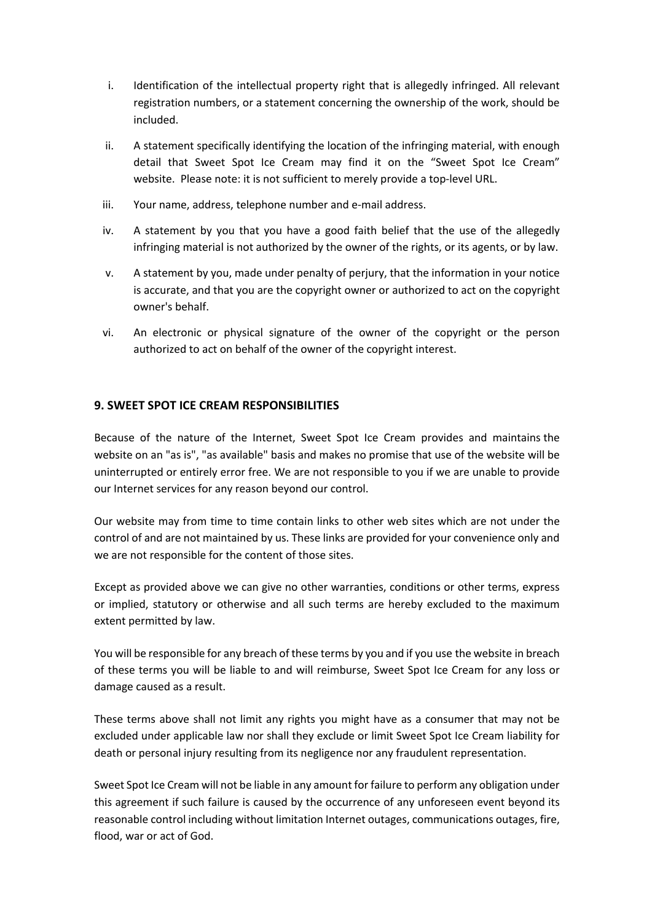- i. Identification of the intellectual property right that is allegedly infringed. All relevant registration numbers, or a statement concerning the ownership of the work, should be included.
- ii. A statement specifically identifying the location of the infringing material, with enough detail that Sweet Spot Ice Cream may find it on the "Sweet Spot Ice Cream" website. Please note: it is not sufficient to merely provide a top-level URL.
- iii. Your name, address, telephone number and e-mail address.
- iv. A statement by you that you have a good faith belief that the use of the allegedly infringing material is not authorized by the owner of the rights, or its agents, or by law.
- v. A statement by you, made under penalty of perjury, that the information in your notice is accurate, and that you are the copyright owner or authorized to act on the copyright owner's behalf.
- vi. An electronic or physical signature of the owner of the copyright or the person authorized to act on behalf of the owner of the copyright interest.

### **9. SWEET SPOT ICE CREAM RESPONSIBILITIES**

Because of the nature of the Internet, Sweet Spot Ice Cream provides and maintains the website on an "as is", "as available" basis and makes no promise that use of the website will be uninterrupted or entirely error free. We are not responsible to you if we are unable to provide our Internet services for any reason beyond our control.

Our website may from time to time contain links to other web sites which are not under the control of and are not maintained by us. These links are provided for your convenience only and we are not responsible for the content of those sites.

Except as provided above we can give no other warranties, conditions or other terms, express or implied, statutory or otherwise and all such terms are hereby excluded to the maximum extent permitted by law.

You will be responsible for any breach of these terms by you and if you use the website in breach of these terms you will be liable to and will reimburse, Sweet Spot Ice Cream for any loss or damage caused as a result.

These terms above shall not limit any rights you might have as a consumer that may not be excluded under applicable law nor shall they exclude or limit Sweet Spot Ice Cream liability for death or personal injury resulting from its negligence nor any fraudulent representation.

Sweet Spot Ice Cream will not be liable in any amount for failure to perform any obligation under this agreement if such failure is caused by the occurrence of any unforeseen event beyond its reasonable control including without limitation Internet outages, communications outages, fire, flood, war or act of God.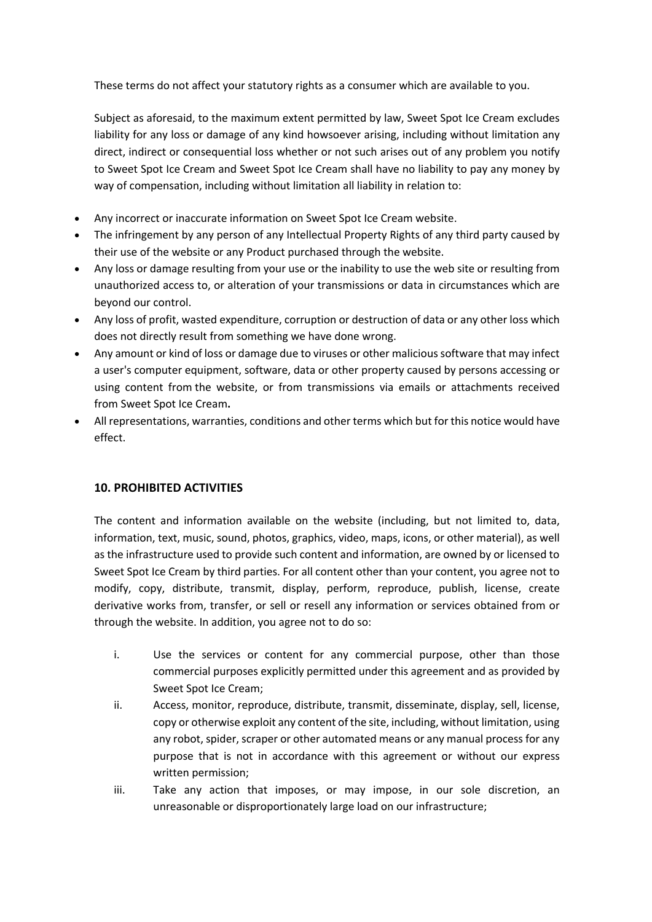These terms do not affect your statutory rights as a consumer which are available to you.

Subject as aforesaid, to the maximum extent permitted by law, Sweet Spot Ice Cream excludes liability for any loss or damage of any kind howsoever arising, including without limitation any direct, indirect or consequential loss whether or not such arises out of any problem you notify to Sweet Spot Ice Cream and Sweet Spot Ice Cream shall have no liability to pay any money by way of compensation, including without limitation all liability in relation to:

- Any incorrect or inaccurate information on Sweet Spot Ice Cream website.
- The infringement by any person of any Intellectual Property Rights of any third party caused by their use of the website or any Product purchased through the website.
- Any loss or damage resulting from your use or the inability to use the web site or resulting from unauthorized access to, or alteration of your transmissions or data in circumstances which are beyond our control.
- Any loss of profit, wasted expenditure, corruption or destruction of data or any other loss which does not directly result from something we have done wrong.
- Any amount or kind of loss or damage due to viruses or other malicious software that may infect a user's computer equipment, software, data or other property caused by persons accessing or using content from the website, or from transmissions via emails or attachments received from Sweet Spot Ice Cream**.**
- All representations, warranties, conditions and other terms which but for this notice would have effect.

### **10. PROHIBITED ACTIVITIES**

The content and information available on the website (including, but not limited to, data, information, text, music, sound, photos, graphics, video, maps, icons, or other material), as well as the infrastructure used to provide such content and information, are owned by or licensed to Sweet Spot Ice Cream by third parties. For all content other than your content, you agree not to modify, copy, distribute, transmit, display, perform, reproduce, publish, license, create derivative works from, transfer, or sell or resell any information or services obtained from or through the website. In addition, you agree not to do so:

- i. Use the services or content for any commercial purpose, other than those commercial purposes explicitly permitted under this agreement and as provided by Sweet Spot Ice Cream;
- ii. Access, monitor, reproduce, distribute, transmit, disseminate, display, sell, license, copy or otherwise exploit any content of the site, including, without limitation, using any robot, spider, scraper or other automated means or any manual process for any purpose that is not in accordance with this agreement or without our express written permission;
- iii. Take any action that imposes, or may impose, in our sole discretion, an unreasonable or disproportionately large load on our infrastructure;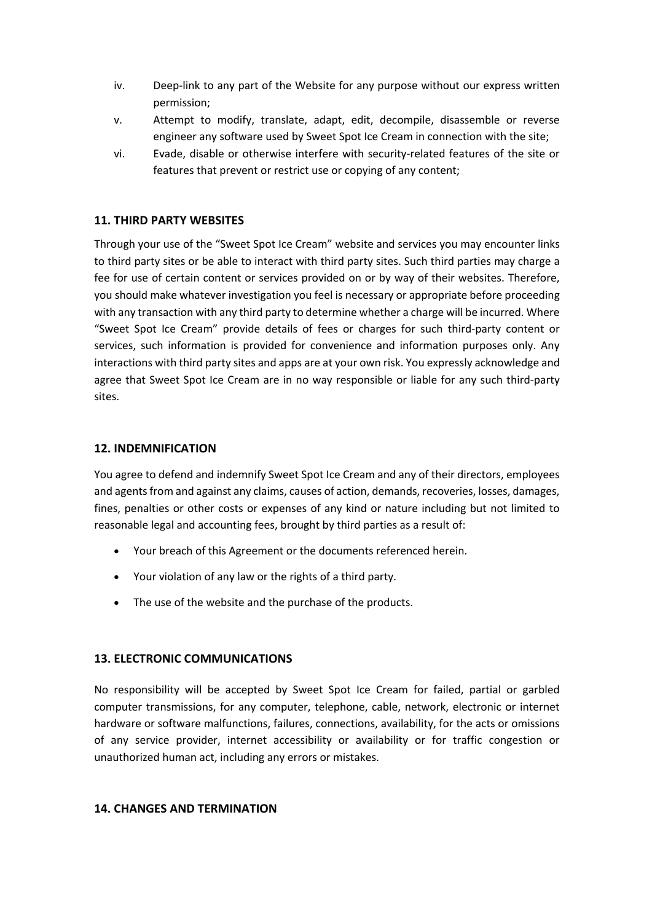- iv. Deep-link to any part of the Website for any purpose without our express written permission;
- v. Attempt to modify, translate, adapt, edit, decompile, disassemble or reverse engineer any software used by Sweet Spot Ice Cream in connection with the site;
- vi. Evade, disable or otherwise interfere with security-related features of the site or features that prevent or restrict use or copying of any content;

### **11. THIRD PARTY WEBSITES**

Through your use of the "Sweet Spot Ice Cream" website and services you may encounter links to third party sites or be able to interact with third party sites. Such third parties may charge a fee for use of certain content or services provided on or by way of their websites. Therefore, you should make whatever investigation you feel is necessary or appropriate before proceeding with any transaction with any third party to determine whether a charge will be incurred. Where "Sweet Spot Ice Cream" provide details of fees or charges for such third-party content or services, such information is provided for convenience and information purposes only. Any interactions with third party sites and apps are at your own risk. You expressly acknowledge and agree that Sweet Spot Ice Cream are in no way responsible or liable for any such third-party sites.

#### **12. INDEMNIFICATION**

You agree to defend and indemnify Sweet Spot Ice Cream and any of their directors, employees and agents from and against any claims, causes of action, demands, recoveries, losses, damages, fines, penalties or other costs or expenses of any kind or nature including but not limited to reasonable legal and accounting fees, brought by third parties as a result of:

- Your breach of this Agreement or the documents referenced herein.
- Your violation of any law or the rights of a third party.
- The use of the website and the purchase of the products.

### **13. ELECTRONIC COMMUNICATIONS**

No responsibility will be accepted by Sweet Spot Ice Cream for failed, partial or garbled computer transmissions, for any computer, telephone, cable, network, electronic or internet hardware or software malfunctions, failures, connections, availability, for the acts or omissions of any service provider, internet accessibility or availability or for traffic congestion or unauthorized human act, including any errors or mistakes.

### **14. CHANGES AND TERMINATION**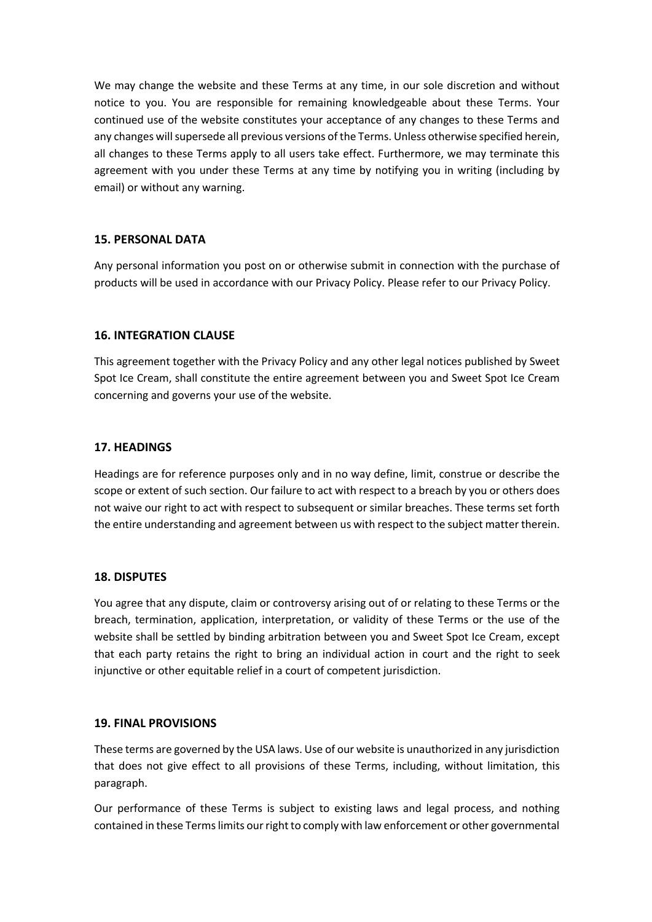We may change the website and these Terms at any time, in our sole discretion and without notice to you. You are responsible for remaining knowledgeable about these Terms. Your continued use of the website constitutes your acceptance of any changes to these Terms and any changes will supersede all previous versions of the Terms. Unless otherwise specified herein, all changes to these Terms apply to all users take effect. Furthermore, we may terminate this agreement with you under these Terms at any time by notifying you in writing (including by email) or without any warning.

### **15. PERSONAL DATA**

Any personal information you post on or otherwise submit in connection with the purchase of products will be used in accordance with our Privacy Policy. Please refer to our Privacy Policy.

#### **16. INTEGRATION CLAUSE**

This agreement together with the Privacy Policy and any other legal notices published by Sweet Spot Ice Cream, shall constitute the entire agreement between you and Sweet Spot Ice Cream concerning and governs your use of the website.

#### **17. HEADINGS**

Headings are for reference purposes only and in no way define, limit, construe or describe the scope or extent of such section. Our failure to act with respect to a breach by you or others does not waive our right to act with respect to subsequent or similar breaches. These terms set forth the entire understanding and agreement between us with respect to the subject matter therein.

#### **18. DISPUTES**

You agree that any dispute, claim or controversy arising out of or relating to these Terms or the breach, termination, application, interpretation, or validity of these Terms or the use of the website shall be settled by binding arbitration between you and Sweet Spot Ice Cream, except that each party retains the right to bring an individual action in court and the right to seek injunctive or other equitable relief in a court of competent jurisdiction.

### **19. FINAL PROVISIONS**

These terms are governed by the USA laws. Use of our website is unauthorized in any jurisdiction that does not give effect to all provisions of these Terms, including, without limitation, this paragraph.

Our performance of these Terms is subject to existing laws and legal process, and nothing contained in these Terms limits our right to comply with law enforcement or other governmental